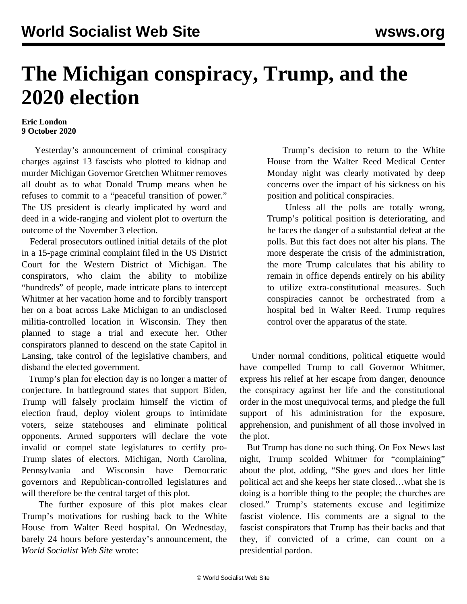## **The Michigan conspiracy, Trump, and the 2020 election**

## **Eric London 9 October 2020**

 Yesterday's announcement of criminal conspiracy charges against 13 fascists who plotted to kidnap and murder Michigan Governor Gretchen Whitmer removes all doubt as to what Donald Trump means when he refuses to commit to a "peaceful transition of power." The US president is clearly implicated by word and deed in a wide-ranging and violent plot to overturn the outcome of the November 3 election.

 Federal prosecutors outlined initial details of the plot in a 15-page criminal complaint filed in the US District Court for the Western District of Michigan. The conspirators, who claim the ability to mobilize "hundreds" of people, made intricate plans to intercept Whitmer at her vacation home and to forcibly transport her on a boat across Lake Michigan to an undisclosed militia-controlled location in Wisconsin. They then planned to stage a trial and execute her. Other conspirators planned to descend on the state Capitol in Lansing, take control of the legislative chambers, and disband the elected government.

 Trump's plan for election day is no longer a matter of conjecture. In battleground states that support Biden, Trump will falsely proclaim himself the victim of election fraud, deploy violent groups to intimidate voters, seize statehouses and eliminate political opponents. Armed supporters will declare the vote invalid or compel state legislatures to certify pro-Trump slates of electors. Michigan, North Carolina, Pennsylvania and Wisconsin have Democratic governors and Republican-controlled legislatures and will therefore be the central target of this plot.

 The further exposure of this plot makes clear Trump's motivations for rushing back to the White House from Walter Reed hospital. On Wednesday, barely 24 hours before yesterday's announcement, the *World Socialist Web Site* wrote:

 Trump's decision to return to the White House from the Walter Reed Medical Center Monday night was clearly motivated by deep concerns over the impact of his sickness on his position and political conspiracies.

 Unless all the polls are totally wrong, Trump's political position is deteriorating, and he faces the danger of a substantial defeat at the polls. But this fact does not alter his plans. The more desperate the crisis of the administration, the more Trump calculates that his ability to remain in office depends entirely on his ability to utilize extra-constitutional measures. Such conspiracies cannot be orchestrated from a hospital bed in Walter Reed. Trump requires control over the apparatus of the state.

 Under normal conditions, political etiquette would have compelled Trump to call Governor Whitmer, express his relief at her escape from danger, denounce the conspiracy against her life and the constitutional order in the most unequivocal terms, and pledge the full support of his administration for the exposure, apprehension, and punishment of all those involved in the plot.

 But Trump has done no such thing. On Fox News last night, Trump scolded Whitmer for "complaining" about the plot, adding, "She goes and does her little political act and she keeps her state closed…what she is doing is a horrible thing to the people; the churches are closed." Trump's statements excuse and legitimize fascist violence. His comments are a signal to the fascist conspirators that Trump has their backs and that they, if convicted of a crime, can count on a presidential pardon.